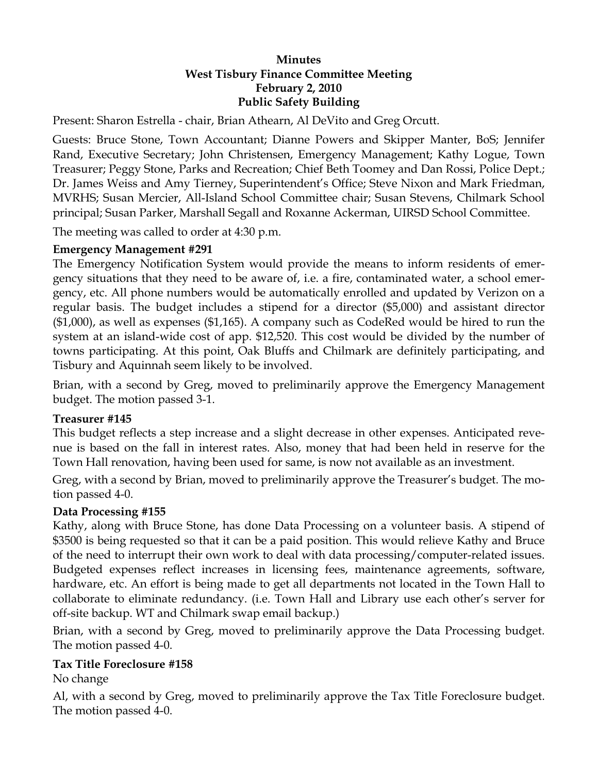#### **Minutes West Tisbury Finance Committee Meeting February 2, 2010 Public Safety Building**

Present: Sharon Estrella - chair, Brian Athearn, Al DeVito and Greg Orcutt.

Guests: Bruce Stone, Town Accountant; Dianne Powers and Skipper Manter, BoS; Jennifer Rand, Executive Secretary; John Christensen, Emergency Management; Kathy Logue, Town Treasurer; Peggy Stone, Parks and Recreation; Chief Beth Toomey and Dan Rossi, Police Dept.; Dr. James Weiss and Amy Tierney, Superintendent's Office; Steve Nixon and Mark Friedman, MVRHS; Susan Mercier, All-Island School Committee chair; Susan Stevens, Chilmark School principal; Susan Parker, Marshall Segall and Roxanne Ackerman, UIRSD School Committee.

The meeting was called to order at 4:30 p.m.

#### **Emergency Management #291**

The Emergency Notification System would provide the means to inform residents of emergency situations that they need to be aware of, i.e. a fire, contaminated water, a school emergency, etc. All phone numbers would be automatically enrolled and updated by Verizon on a regular basis. The budget includes a stipend for a director (\$5,000) and assistant director (\$1,000), as well as expenses (\$1,165). A company such as CodeRed would be hired to run the system at an island-wide cost of app. \$12,520. This cost would be divided by the number of towns participating. At this point, Oak Bluffs and Chilmark are definitely participating, and Tisbury and Aquinnah seem likely to be involved.

Brian, with a second by Greg, moved to preliminarily approve the Emergency Management budget. The motion passed 3-1.

#### **Treasurer #145**

This budget reflects a step increase and a slight decrease in other expenses. Anticipated revenue is based on the fall in interest rates. Also, money that had been held in reserve for the Town Hall renovation, having been used for same, is now not available as an investment.

Greg, with a second by Brian, moved to preliminarily approve the Treasurer's budget. The motion passed 4-0.

### **Data Processing #155**

Kathy, along with Bruce Stone, has done Data Processing on a volunteer basis. A stipend of \$3500 is being requested so that it can be a paid position. This would relieve Kathy and Bruce of the need to interrupt their own work to deal with data processing/computer-related issues. Budgeted expenses reflect increases in licensing fees, maintenance agreements, software, hardware, etc. An effort is being made to get all departments not located in the Town Hall to collaborate to eliminate redundancy. (i.e. Town Hall and Library use each other's server for off-site backup. WT and Chilmark swap email backup.)

Brian, with a second by Greg, moved to preliminarily approve the Data Processing budget. The motion passed 4-0.

### **Tax Title Foreclosure #158**

No change

Al, with a second by Greg, moved to preliminarily approve the Tax Title Foreclosure budget. The motion passed 4-0.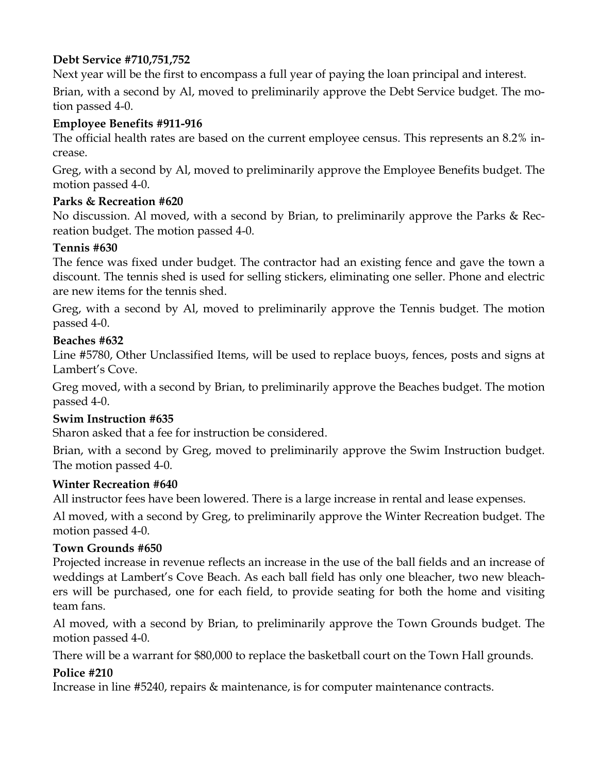# **Debt Service #710,751,752**

Next year will be the first to encompass a full year of paying the loan principal and interest.

Brian, with a second by Al, moved to preliminarily approve the Debt Service budget. The motion passed 4-0.

### **Employee Benefits #911-916**

The official health rates are based on the current employee census. This represents an 8.2% increase.

Greg, with a second by Al, moved to preliminarily approve the Employee Benefits budget. The motion passed 4-0.

### **Parks & Recreation #620**

No discussion. Al moved, with a second by Brian, to preliminarily approve the Parks & Recreation budget. The motion passed 4-0.

### **Tennis #630**

The fence was fixed under budget. The contractor had an existing fence and gave the town a discount. The tennis shed is used for selling stickers, eliminating one seller. Phone and electric are new items for the tennis shed.

Greg, with a second by Al, moved to preliminarily approve the Tennis budget. The motion passed 4-0.

### **Beaches #632**

Line #5780, Other Unclassified Items, will be used to replace buoys, fences, posts and signs at Lambert's Cove.

Greg moved, with a second by Brian, to preliminarily approve the Beaches budget. The motion passed 4-0.

### **Swim Instruction #635**

Sharon asked that a fee for instruction be considered.

Brian, with a second by Greg, moved to preliminarily approve the Swim Instruction budget. The motion passed 4-0.

### **Winter Recreation #640**

All instructor fees have been lowered. There is a large increase in rental and lease expenses.

Al moved, with a second by Greg, to preliminarily approve the Winter Recreation budget. The motion passed 4-0.

### **Town Grounds #650**

Projected increase in revenue reflects an increase in the use of the ball fields and an increase of weddings at Lambert's Cove Beach. As each ball field has only one bleacher, two new bleachers will be purchased, one for each field, to provide seating for both the home and visiting team fans.

Al moved, with a second by Brian, to preliminarily approve the Town Grounds budget. The motion passed 4-0.

There will be a warrant for \$80,000 to replace the basketball court on the Town Hall grounds.

### **Police #210**

Increase in line #5240, repairs & maintenance, is for computer maintenance contracts.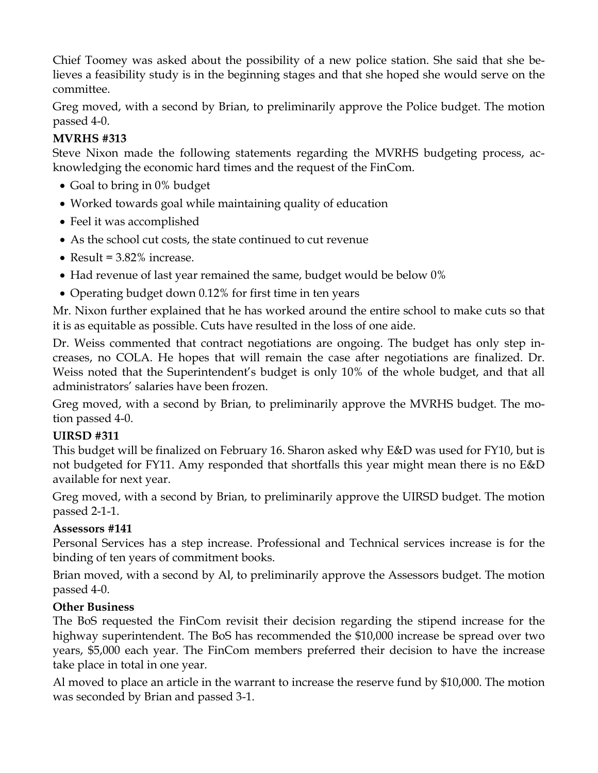Chief Toomey was asked about the possibility of a new police station. She said that she believes a feasibility study is in the beginning stages and that she hoped she would serve on the committee.

Greg moved, with a second by Brian, to preliminarily approve the Police budget. The motion passed 4-0.

# **MVRHS #313**

Steve Nixon made the following statements regarding the MVRHS budgeting process, acknowledging the economic hard times and the request of the FinCom.

- Goal to bring in 0% budget
- Worked towards goal while maintaining quality of education
- Feel it was accomplished
- As the school cut costs, the state continued to cut revenue
- Result =  $3.82\%$  increase.
- Had revenue of last year remained the same, budget would be below 0%
- Operating budget down 0.12% for first time in ten years

Mr. Nixon further explained that he has worked around the entire school to make cuts so that it is as equitable as possible. Cuts have resulted in the loss of one aide.

Dr. Weiss commented that contract negotiations are ongoing. The budget has only step increases, no COLA. He hopes that will remain the case after negotiations are finalized. Dr. Weiss noted that the Superintendent's budget is only 10% of the whole budget, and that all administrators' salaries have been frozen.

Greg moved, with a second by Brian, to preliminarily approve the MVRHS budget. The motion passed 4-0.

# **UIRSD #311**

This budget will be finalized on February 16. Sharon asked why E&D was used for FY10, but is not budgeted for FY11. Amy responded that shortfalls this year might mean there is no E&D available for next year.

Greg moved, with a second by Brian, to preliminarily approve the UIRSD budget. The motion passed 2-1-1.

# **Assessors #141**

Personal Services has a step increase. Professional and Technical services increase is for the binding of ten years of commitment books.

Brian moved, with a second by Al, to preliminarily approve the Assessors budget. The motion passed 4-0.

# **Other Business**

The BoS requested the FinCom revisit their decision regarding the stipend increase for the highway superintendent. The BoS has recommended the \$10,000 increase be spread over two years, \$5,000 each year. The FinCom members preferred their decision to have the increase take place in total in one year.

Al moved to place an article in the warrant to increase the reserve fund by \$10,000. The motion was seconded by Brian and passed 3-1.